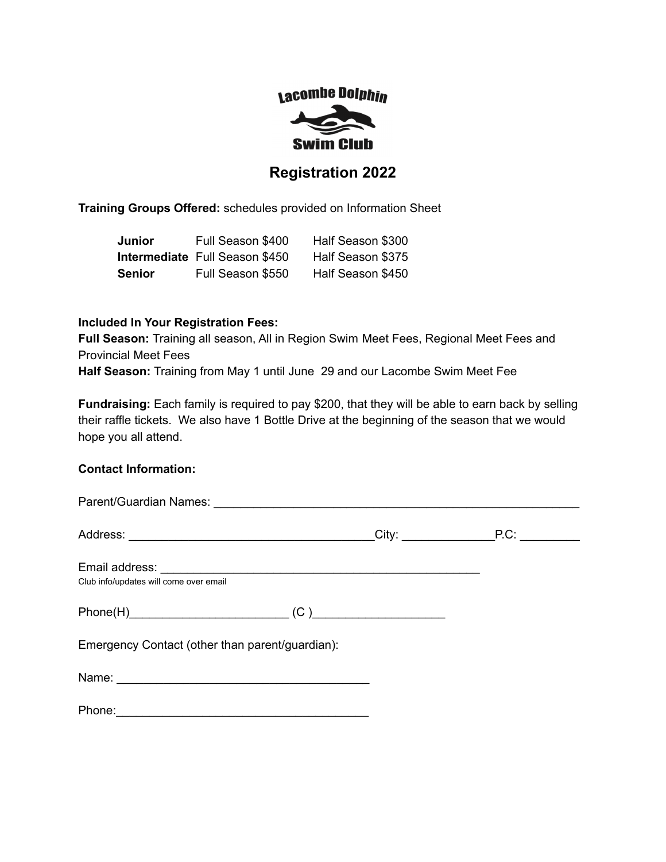# Lacombe Dolphin **Swim Club**

# **Registration 2022**

**Training Groups Offered:** schedules provided on Information Sheet

| Junior        | Full Season \$400                     | Half Season \$300 |
|---------------|---------------------------------------|-------------------|
|               | <b>Intermediate</b> Full Season \$450 | Half Season \$375 |
| <b>Senior</b> | Full Season \$550                     | Half Season \$450 |

### **Included In Your Registration Fees:**

**Full Season:** Training all season, All in Region Swim Meet Fees, Regional Meet Fees and Provincial Meet Fees **Half Season:** Training from May 1 until June 29 and our Lacombe Swim Meet Fee

**Fundraising:** Each family is required to pay \$200, that they will be able to earn back by selling their raffle tickets. We also have 1 Bottle Drive at the beginning of the season that we would hope you all attend.

# **Contact Information:**

| Club info/updates will come over email          |  |
|-------------------------------------------------|--|
|                                                 |  |
| Emergency Contact (other than parent/guardian): |  |
|                                                 |  |
|                                                 |  |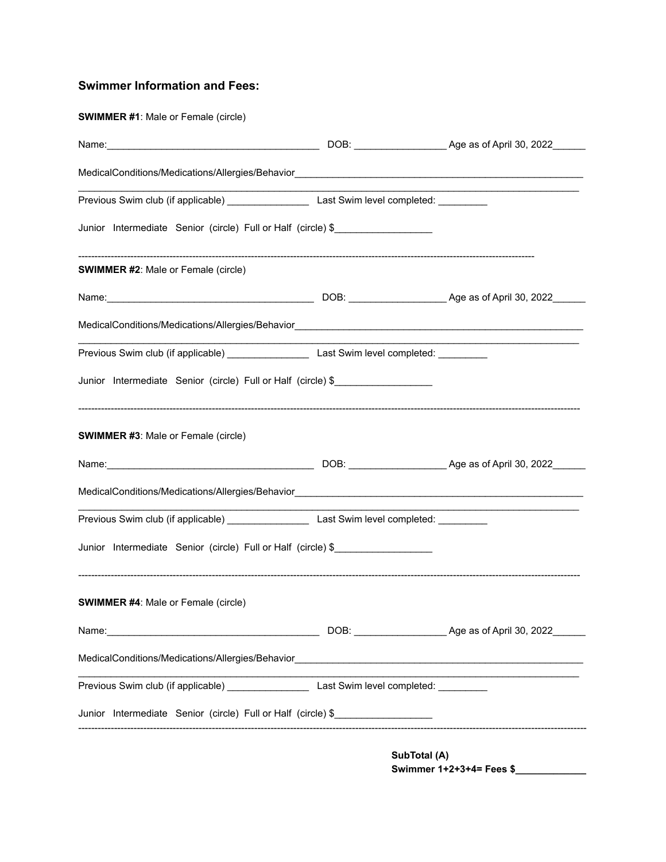# **Swimmer Information and Fees:**

# **SWIMMER #1**: Male or Female (circle)

| Junior Intermediate Senior (circle) Full or Half (circle) \$                                                                                      |  |  |
|---------------------------------------------------------------------------------------------------------------------------------------------------|--|--|
| <b>SWIMMER #2: Male or Female (circle)</b>                                                                                                        |  |  |
|                                                                                                                                                   |  |  |
| MedicalConditions/Medications/Allergies/Behavior________________________________                                                                  |  |  |
|                                                                                                                                                   |  |  |
| Junior Intermediate Senior (circle) Full or Half (circle) \$                                                                                      |  |  |
|                                                                                                                                                   |  |  |
| <b>SWIMMER #3: Male or Female (circle)</b>                                                                                                        |  |  |
|                                                                                                                                                   |  |  |
|                                                                                                                                                   |  |  |
| MedicalConditions/Medications/Allergies/Behavior________________________________<br>Previous Swim club (if applicable) Last Swim level completed: |  |  |
|                                                                                                                                                   |  |  |
| Junior Intermediate Senior (circle) Full or Half (circle) \$<br><b>SWIMMER #4: Male or Female (circle)</b>                                        |  |  |
|                                                                                                                                                   |  |  |
| Name: Name:<br>MedicalConditions/Medications/Allergies/Behavior________________________________                                                   |  |  |
|                                                                                                                                                   |  |  |

**SubTotal (A) Swimmer 1+2+3+4= Fees \$\_\_\_\_\_\_\_\_\_\_\_\_\_**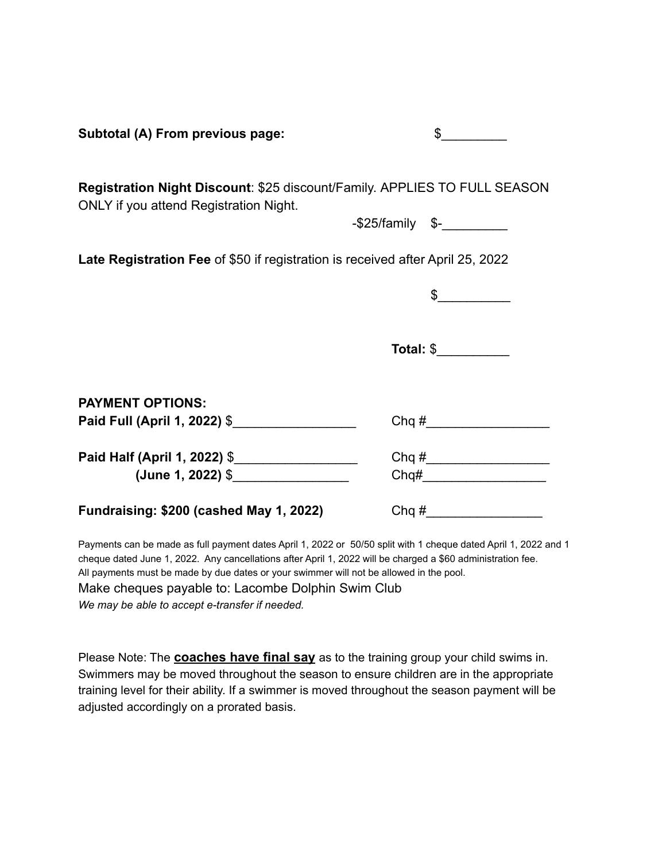| Subtotal (A) From previous page:                                                                                           | \$                                                                                                                                                                                                                                                                                                                                                                                                                              |
|----------------------------------------------------------------------------------------------------------------------------|---------------------------------------------------------------------------------------------------------------------------------------------------------------------------------------------------------------------------------------------------------------------------------------------------------------------------------------------------------------------------------------------------------------------------------|
| Registration Night Discount: \$25 discount/Family. APPLIES TO FULL SEASON<br><b>ONLY</b> if you attend Registration Night. | $-$ \$25/family \$- $\frac{1}{2}$                                                                                                                                                                                                                                                                                                                                                                                               |
|                                                                                                                            |                                                                                                                                                                                                                                                                                                                                                                                                                                 |
| Late Registration Fee of \$50 if registration is received after April 25, 2022                                             |                                                                                                                                                                                                                                                                                                                                                                                                                                 |
|                                                                                                                            | $\frac{1}{\sqrt{1-\frac{1}{2}}}\frac{1}{\sqrt{1-\frac{1}{2}}}\frac{1}{\sqrt{1-\frac{1}{2}}}\frac{1}{\sqrt{1-\frac{1}{2}}}\frac{1}{\sqrt{1-\frac{1}{2}}}\frac{1}{\sqrt{1-\frac{1}{2}}}\frac{1}{\sqrt{1-\frac{1}{2}}}\frac{1}{\sqrt{1-\frac{1}{2}}}\frac{1}{\sqrt{1-\frac{1}{2}}}\frac{1}{\sqrt{1-\frac{1}{2}}}\frac{1}{\sqrt{1-\frac{1}{2}}}\frac{1}{\sqrt{1-\frac{1}{2}}}\frac{1}{\sqrt{1-\frac{1}{2}}}\frac{1}{\sqrt{1-\frac{$ |
|                                                                                                                            |                                                                                                                                                                                                                                                                                                                                                                                                                                 |
|                                                                                                                            | Total: \$____________                                                                                                                                                                                                                                                                                                                                                                                                           |
|                                                                                                                            |                                                                                                                                                                                                                                                                                                                                                                                                                                 |
| <b>PAYMENT OPTIONS:</b>                                                                                                    |                                                                                                                                                                                                                                                                                                                                                                                                                                 |
| Paid Full (April 1, 2022) \$                                                                                               | $Chq \#$                                                                                                                                                                                                                                                                                                                                                                                                                        |
| Paid Half (April 1, 2022) \$                                                                                               |                                                                                                                                                                                                                                                                                                                                                                                                                                 |
| (June 1, 2022) \$                                                                                                          |                                                                                                                                                                                                                                                                                                                                                                                                                                 |
| Fundraising: \$200 (cashed May 1, 2022)                                                                                    | $Chq \#$                                                                                                                                                                                                                                                                                                                                                                                                                        |

Payments can be made as full payment dates April 1, 2022 or 50/50 split with 1 cheque dated April 1, 2022 and 1 cheque dated June 1, 2022. Any cancellations after April 1, 2022 will be charged a \$60 administration fee. All payments must be made by due dates or your swimmer will not be allowed in the pool. Make cheques payable to: Lacombe Dolphin Swim Club *We may be able to accept e-transfer if needed.*

Please Note: The **coaches have final say** as to the training group your child swims in. Swimmers may be moved throughout the season to ensure children are in the appropriate training level for their ability. If a swimmer is moved throughout the season payment will be adjusted accordingly on a prorated basis.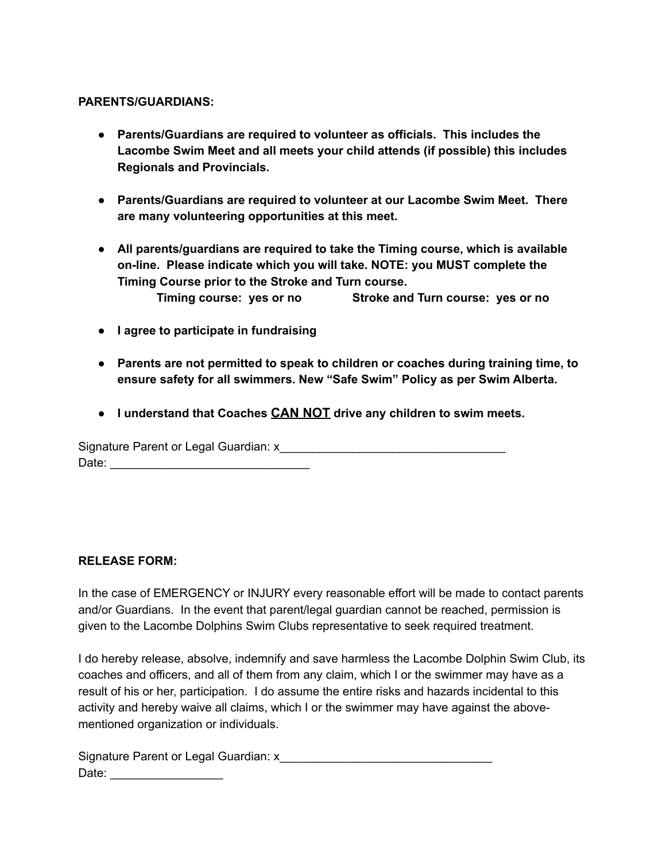### **PARENTS/GUARDIANS:**

- **Parents/Guardians are required to volunteer as officials. This includes the Lacombe Swim Meet and all meets your child attends (if possible) this includes Regionals and Provincials.**
- **● Parents/Guardians are required to volunteer at our Lacombe Swim Meet. There are many volunteering opportunities at this meet.**
- **All parents/guardians are required to take the Timing course, which is available on-line. Please indicate which you will take. NOTE: you MUST complete the Timing Course prior to the Stroke and Turn course. Timing course: yes or no Stroke and Turn course: yes or no**
- **I agree to participate in fundraising**
- **Parents are not permitted to speak to children or coaches during training time, to ensure safety for all swimmers. New "Safe Swim" Policy as per Swim Alberta.**
- **● I understand that Coaches CAN NOT drive any children to swim meets.**

Signature Parent or Legal Guardian: x Date: \_\_\_\_\_\_\_\_\_\_\_\_\_\_\_\_\_\_\_\_\_\_\_\_\_\_\_\_\_\_

# **RELEASE FORM:**

In the case of EMERGENCY or INJURY every reasonable effort will be made to contact parents and/or Guardians. In the event that parent/legal guardian cannot be reached, permission is given to the Lacombe Dolphins Swim Clubs representative to seek required treatment.

I do hereby release, absolve, indemnify and save harmless the Lacombe Dolphin Swim Club, its coaches and officers, and all of them from any claim, which I or the swimmer may have as a result of his or her, participation. I do assume the entire risks and hazards incidental to this activity and hereby waive all claims, which I or the swimmer may have against the abovementioned organization or individuals.

Signature Parent or Legal Guardian: x\_\_\_\_\_\_\_\_\_\_\_\_\_\_\_\_\_\_\_\_\_\_\_\_\_\_\_\_\_\_\_\_ Date: \_\_\_\_\_\_\_\_\_\_\_\_\_\_\_\_\_